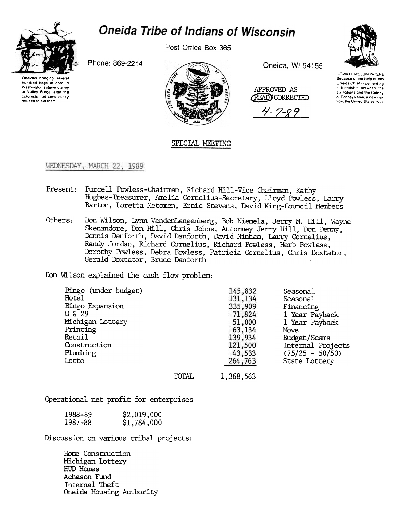

## **Oneida Tribe of Indians of Wisconsin**

Post Office Box 365

Oneidas bringing several hundred bogs 01 corn to Washington's starving army at Valley Forge, after the COlon,sts had cons,stently refused to aid them



APPROVED AS ~~) CORRECTED

 $4 - 7 - 89$ 



\JGWA DEMDLUM YATEHE Because of the help of this Oneida Chiel in cementing a friendship between the six nations and the Colony 01 Pennsylvan,a a new na tion, the United States, was

## SPECIAL MEETING

## WEDNESDAY, MARCH 22, 1989

- Present: Purcell Powless-Chairman, Richard Hill-Vice Chairman, Kathy Hughes-Treasurer, Anelia Cornelius-Secretary, Lloyd Powless, Larry Barton, Loretta Metoxen, Ernie Stevens, David King-Council Members
- Others: Don Wilson, Lynn VandenLangenberg, Bob Niemela, Jerry M. Hill, Wayne Skenandore, Don Hill, Chris Johns, Attorney Jerry Hill, Don Denny, Dennis Danforth, David Danforth, David Ninham, Larry Cornelius, Randy Jordan, Richard Cornelius, Richard Powless, Herb Powless, Dorothy Pawless, Debra Pawless, Patricia Cornelius, Chris Daxtator, Gerald Doxtator, Bruce Danforth

Don Wilson explained the cash flow problem:

| Bingo (under budget) |       | 145,832   | Seasonal          |
|----------------------|-------|-----------|-------------------|
| Hotel                |       | 131, 134  | Seasonal          |
| Bingo Expansion      |       | 335,909   | Financing         |
| U & 29               |       | 71,824    | 1 Year Payback    |
| Michigan Lottery     |       | 51,000    | 1 Year Payback    |
| Printing             |       | 63,134    | Move              |
| Retail               |       | 139,934   | Budget/Scams      |
| Construction         |       | 121,500   | Internal Projects |
| Plumbing             |       | 43,533    | $(75/25 - 50/50)$ |
| Lotto                |       | 264,763   | State Lottery     |
|                      | TOTAL | 1,368,563 |                   |

Operational net profit for enterprises

| 1988-89 | \$2,019,000 |
|---------|-------------|
| 1987-88 | \$1,784,000 |

Discussion on various tribal projects:

Home Construction Michigan IDttery HUD Homes Acheson Fund Internal Theft Oneida Housing Authority